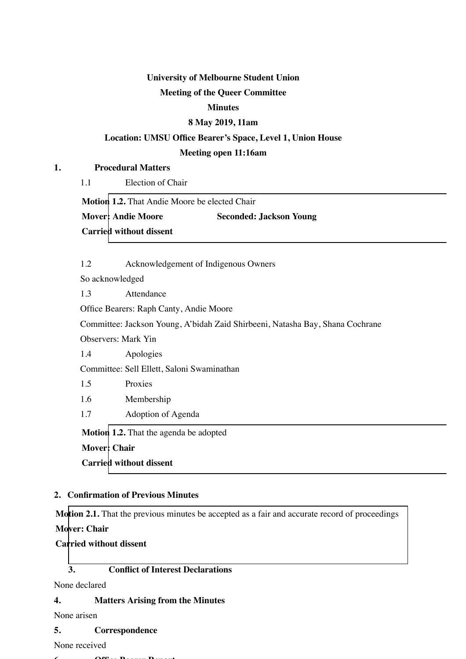### **University of Melbourne Student Union**

#### **Meeting of the Queer Committee**

## **Minutes**

## **8 May 2019, 11am**

#### **Location: UMSU Office Bearer's Space, Level 1, Union House**

#### **Meeting open 11:16am**

## **1. Procedural Matters**

1.1 Election of Chair

**Motion 1.2.** That Andie Moore be elected Chair

**Mover: Andie Moore Seconded: Jackson Young**

**Carried without dissent**

1.2 Acknowledgement of Indigenous Owners

So acknowledged

1.3 Attendance

Office Bearers: Raph Canty, Andie Moore

Committee: Jackson Young, A'bidah Zaid Shirbeeni, Natasha Bay, Shana Cochrane

Observers: Mark Yin

1.4 Apologies

Committee: Sell Ellett, Saloni Swaminathan

- 1.5 Proxies
- 1.6 Membership
- 1.7 Adoption of Agenda

**Motion 1.2.** That the agenda be adopted **Mover: Chair Carried without dissent**

## **2. Confirmation of Previous Minutes**

**Motion 2.1.** That the previous minutes be accepted as a fair and accurate record of proceedings **Mover: Chair**

**Carried without dissent**

## **3. Conflict of Interest Declarations**

None declared

**4. Matters Arising from the Minutes**

None arisen

- **5. Correspondence**
- None received
- $\epsilon$  of  $\mathbf{R}$  **B**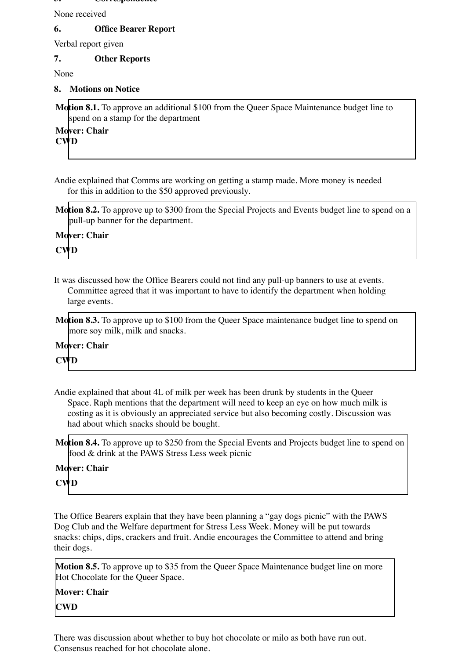**5. Correspondence**

None received

## **6. Office Bearer Report**

Verbal report given

## **7. Other Reports**

None

## **8. Motions on Notice**

**Motion 8.1.** To approve an additional \$100 from the Queer Space Maintenance budget line to spend on a stamp for the department

# **Mover: Chair CWD**

Andie explained that Comms are working on getting a stamp made. More money is needed for this in addition to the \$50 approved previously.

**Motion 8.2.** To approve up to \$300 from the Special Projects and Events budget line to spend on a pull-up banner for the department.

# **Mover: Chair CWD**

It was discussed how the Office Bearers could not find any pull-up banners to use at events. Committee agreed that it was important to have to identify the department when holding large events.

**Motion 8.3.** To approve up to \$100 from the Queer Space maintenance budget line to spend on more soy milk, milk and snacks.

# **Mover: Chair**

### **CWD**

Andie explained that about 4L of milk per week has been drunk by students in the Queer Space. Raph mentions that the department will need to keep an eye on how much milk is costing as it is obviously an appreciated service but also becoming costly. Discussion was had about which snacks should be bought.

**Motion 8.4.** To approve up to \$250 from the Special Events and Projects budget line to spend on food & drink at the PAWS Stress Less week picnic

# **Mover: Chair**

# **CWD**

The Office Bearers explain that they have been planning a "gay dogs picnic" with the PAWS Dog Club and the Welfare department for Stress Less Week. Money will be put towards snacks: chips, dips, crackers and fruit. Andie encourages the Committee to attend and bring their dogs.

**Motion 8.5.** To approve up to \$35 from the Queer Space Maintenance budget line on more Hot Chocolate for the Queer Space.

# **Mover: Chair CWD**

There was discussion about whether to buy hot chocolate or milo as both have run out. Consensus reached for hot chocolate alone.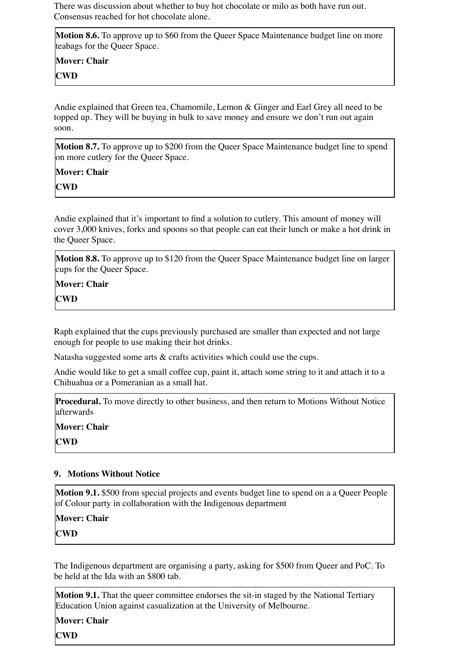There was discussion about whether to buy hot chocolate or milo as both have run out. Consensus reached for hot chocolate alone.

**Motion 8.6.** To approve up to \$60 from the Queer Space Maintenance budget line on more teabags for the Queer Space.

**Mover: Chair**

**CWD**

Andie explained that Green tea, Chamomile, Lemon & Ginger and Earl Grey all need to be topped up. They will be buying in bulk to save money and ensure we don't run out again soon.

**Motion 8.7.** To approve up to \$200 from the Queer Space Maintenance budget line to spend on more cutlery for the Queer Space.

**Mover: Chair**

**CWD**

Andie explained that it's important to find a solution to cutlery. This amount of money will cover 3,000 knives, forks and spoons so that people can eat their lunch or make a hot drink in the Queer Space.

**Motion 8.8.** To approve up to \$120 from the Queer Space Maintenance budget line on larger cups for the Queer Space.

**Mover: Chair**

**CWD**

Raph explained that the cups previously purchased are smaller than expected and not large enough for people to use making their hot drinks.

Natasha suggested some arts & crafts activities which could use the cups.

Andie would like to get a small coffee cup, paint it, attach some string to it and attach it to a Chihuahua or a Pomeranian as a small hat.

**Procedural.** To move directly to other business, and then return to Motions Without Notice afterwards

**Mover: Chair CWD**

## **9. Motions Without Notice**

**Motion 9.1.** \$500 from special projects and events budget line to spend on a a Queer People of Colour party in collaboration with the Indigenous department

**Mover: Chair**

**CWD**

The Indigenous department are organising a party, asking for \$500 from Queer and PoC. To be held at the Ida with an \$800 tab.

**Motion 9.1.** That the queer committee endorses the sit-in staged by the National Tertiary Education Union against casualization at the University of Melbourne.

**Mover: Chair CWD**